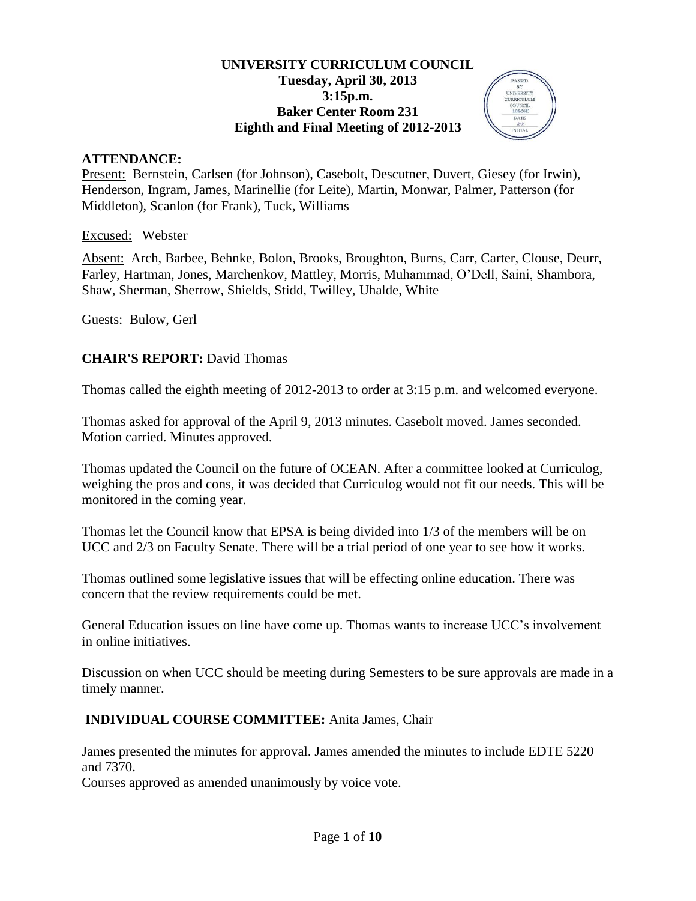## **UNIVERSITY CURRICULUM COUNCIL Tuesday, April 30, 2013 3:15p.m. Baker Center Room 231 Eighth and Final Meeting of 2012-2013**

**PASSET** BY<br>UNIVERSITY

### **ATTENDANCE:**

Present: Bernstein, Carlsen (for Johnson), Casebolt, Descutner, Duvert, Giesey (for Irwin), Henderson, Ingram, James, Marinellie (for Leite), Martin, Monwar, Palmer, Patterson (for Middleton), Scanlon (for Frank), Tuck, Williams

Excused: Webster

Absent: Arch, Barbee, Behnke, Bolon, Brooks, Broughton, Burns, Carr, Carter, Clouse, Deurr, Farley, Hartman, Jones, Marchenkov, Mattley, Morris, Muhammad, O'Dell, Saini, Shambora, Shaw, Sherman, Sherrow, Shields, Stidd, Twilley, Uhalde, White

Guests: Bulow, Gerl

## **CHAIR'S REPORT:** David Thomas

Thomas called the eighth meeting of 2012-2013 to order at 3:15 p.m. and welcomed everyone.

Thomas asked for approval of the April 9, 2013 minutes. Casebolt moved. James seconded. Motion carried. Minutes approved.

Thomas updated the Council on the future of OCEAN. After a committee looked at Curriculog, weighing the pros and cons, it was decided that Curriculog would not fit our needs. This will be monitored in the coming year.

Thomas let the Council know that EPSA is being divided into 1/3 of the members will be on UCC and 2/3 on Faculty Senate. There will be a trial period of one year to see how it works.

Thomas outlined some legislative issues that will be effecting online education. There was concern that the review requirements could be met.

General Education issues on line have come up. Thomas wants to increase UCC's involvement in online initiatives.

Discussion on when UCC should be meeting during Semesters to be sure approvals are made in a timely manner.

## **INDIVIDUAL COURSE COMMITTEE:** Anita James, Chair

James presented the minutes for approval. James amended the minutes to include EDTE 5220 and 7370.

Courses approved as amended unanimously by voice vote.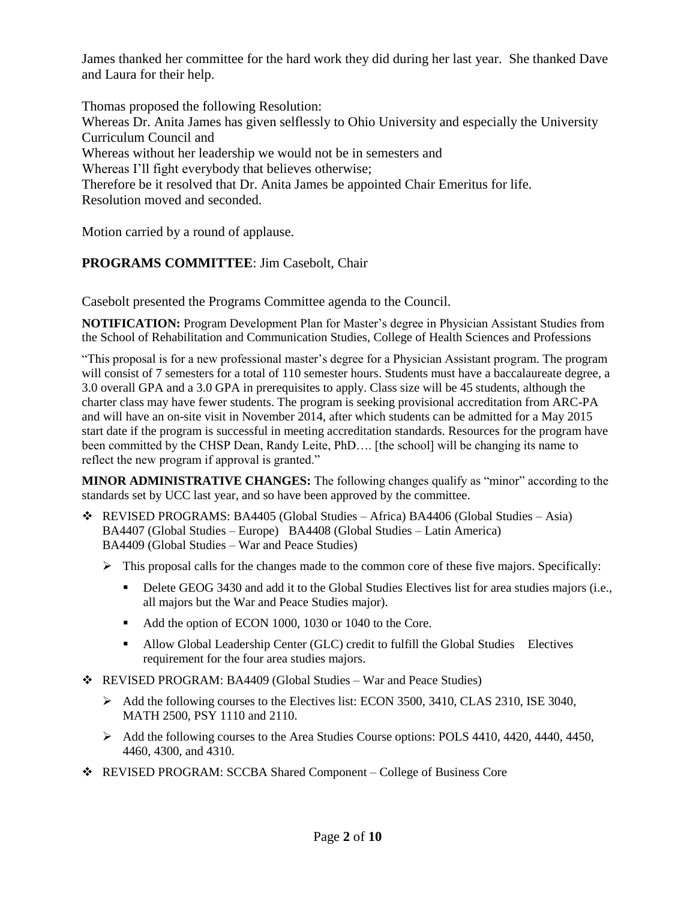James thanked her committee for the hard work they did during her last year. She thanked Dave and Laura for their help.

Thomas proposed the following Resolution: Whereas Dr. Anita James has given selflessly to Ohio University and especially the University Curriculum Council and Whereas without her leadership we would not be in semesters and Whereas I'll fight everybody that believes otherwise; Therefore be it resolved that Dr. Anita James be appointed Chair Emeritus for life. Resolution moved and seconded.

Motion carried by a round of applause.

# **PROGRAMS COMMITTEE**: Jim Casebolt, Chair

Casebolt presented the Programs Committee agenda to the Council.

**NOTIFICATION:** Program Development Plan for Master's degree in Physician Assistant Studies from the School of Rehabilitation and Communication Studies, College of Health Sciences and Professions

"This proposal is for a new professional master's degree for a Physician Assistant program. The program will consist of 7 semesters for a total of 110 semester hours. Students must have a baccalaureate degree, a 3.0 overall GPA and a 3.0 GPA in prerequisites to apply. Class size will be 45 students, although the charter class may have fewer students. The program is seeking provisional accreditation from ARC-PA and will have an on-site visit in November 2014, after which students can be admitted for a May 2015 start date if the program is successful in meeting accreditation standards. Resources for the program have been committed by the CHSP Dean, Randy Leite, PhD…. [the school] will be changing its name to reflect the new program if approval is granted."

**MINOR ADMINISTRATIVE CHANGES:** The following changes qualify as "minor" according to the standards set by UCC last year, and so have been approved by the committee.

- REVISED PROGRAMS: BA4405 (Global Studies Africa) BA4406 (Global Studies Asia) BA4407 (Global Studies – Europe) BA4408 (Global Studies – Latin America) BA4409 (Global Studies – War and Peace Studies)
	- $\triangleright$  This proposal calls for the changes made to the common core of these five majors. Specifically:
		- Delete GEOG 3430 and add it to the Global Studies Electives list for area studies majors (i.e., all majors but the War and Peace Studies major).
		- Add the option of ECON 1000, 1030 or 1040 to the Core.
		- Allow Global Leadership Center (GLC) credit to fulfill the Global Studies Electives requirement for the four area studies majors.
- REVISED PROGRAM: BA4409 (Global Studies War and Peace Studies)
	- $\blacktriangleright$  Add the following courses to the Electives list: ECON 3500, 3410, CLAS 2310, ISE 3040, MATH 2500, PSY 1110 and 2110.
	- Add the following courses to the Area Studies Course options: POLS 4410, 4420, 4440, 4450, 4460, 4300, and 4310.
- REVISED PROGRAM: SCCBA Shared Component College of Business Core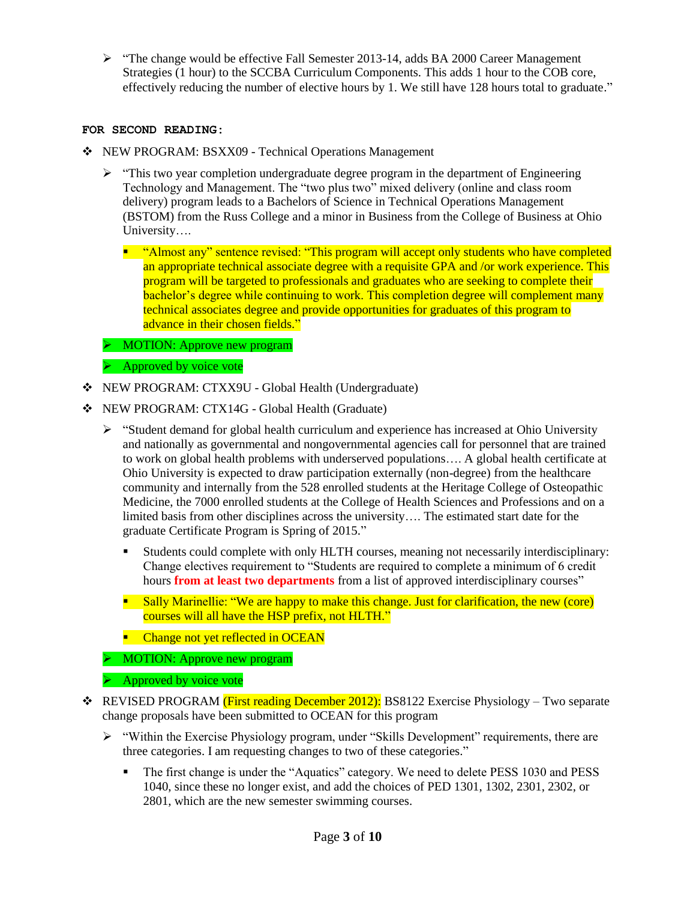$\triangleright$  "The change would be effective Fall Semester 2013-14, adds BA 2000 Career Management Strategies (1 hour) to the SCCBA Curriculum Components. This adds 1 hour to the COB core, effectively reducing the number of elective hours by 1. We still have 128 hours total to graduate."

#### **FOR SECOND READING:**

- NEW PROGRAM: BSXX09 Technical Operations Management
	- $\triangleright$  "This two year completion undergraduate degree program in the department of Engineering Technology and Management. The "two plus two" mixed delivery (online and class room delivery) program leads to a Bachelors of Science in Technical Operations Management (BSTOM) from the Russ College and a minor in Business from the College of Business at Ohio University….
		- " "Almost any" sentence revised: "This program will accept only students who have completed an appropriate technical associate degree with a requisite GPA and /or work experience. This program will be targeted to professionals and graduates who are seeking to complete their bachelor's degree while continuing to work. This completion degree will complement many technical associates degree and provide opportunities for graduates of this program to advance in their chosen fields."
	- MOTION: Approve new program
	- $\triangleright$  Approved by voice vote
- NEW PROGRAM: CTXX9U Global Health (Undergraduate)
- NEW PROGRAM: CTX14G Global Health (Graduate)
	- $\triangleright$  "Student demand for global health curriculum and experience has increased at Ohio University and nationally as governmental and nongovernmental agencies call for personnel that are trained to work on global health problems with underserved populations…. A global health certificate at Ohio University is expected to draw participation externally (non-degree) from the healthcare community and internally from the 528 enrolled students at the Heritage College of Osteopathic Medicine, the 7000 enrolled students at the College of Health Sciences and Professions and on a limited basis from other disciplines across the university…. The estimated start date for the graduate Certificate Program is Spring of 2015."
		- Students could complete with only HLTH courses, meaning not necessarily interdisciplinary: Change electives requirement to "Students are required to complete a minimum of 6 credit hours **from at least two departments** from a list of approved interdisciplinary courses"
		- **Sally Marinellie: "We are happy to make this change. Just for clarification, the new (core)** courses will all have the HSP prefix, not HLTH."
		- Change not yet reflected in OCEAN
	- MOTION: Approve new program
	- $\triangleright$  Approved by voice vote
- REVISED PROGRAM (First reading December 2012): BS8122 Exercise Physiology Two separate change proposals have been submitted to OCEAN for this program
	- $\triangleright$  "Within the Exercise Physiology program, under "Skills Development" requirements, there are three categories. I am requesting changes to two of these categories."
		- The first change is under the "Aquatics" category. We need to delete PESS 1030 and PESS 1040, since these no longer exist, and add the choices of PED 1301, 1302, 2301, 2302, or 2801, which are the new semester swimming courses.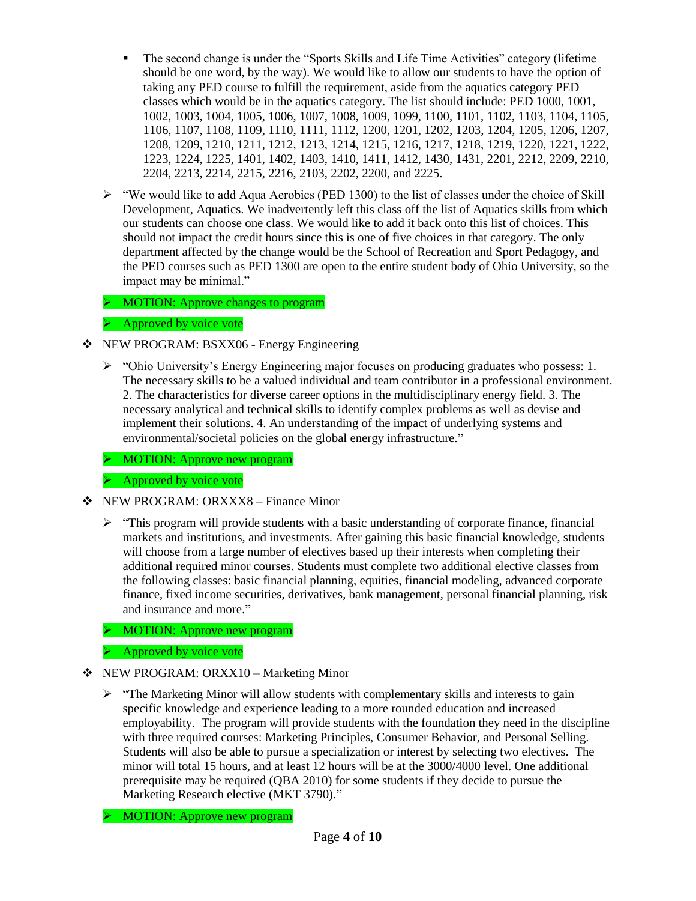- The second change is under the "Sports Skills and Life Time Activities" category (lifetime should be one word, by the way). We would like to allow our students to have the option of taking any PED course to fulfill the requirement, aside from the aquatics category PED classes which would be in the aquatics category. The list should include: PED 1000, 1001, 1002, 1003, 1004, 1005, 1006, 1007, 1008, 1009, 1099, 1100, 1101, 1102, 1103, 1104, 1105, 1106, 1107, 1108, 1109, 1110, 1111, 1112, 1200, 1201, 1202, 1203, 1204, 1205, 1206, 1207, 1208, 1209, 1210, 1211, 1212, 1213, 1214, 1215, 1216, 1217, 1218, 1219, 1220, 1221, 1222, 1223, 1224, 1225, 1401, 1402, 1403, 1410, 1411, 1412, 1430, 1431, 2201, 2212, 2209, 2210, 2204, 2213, 2214, 2215, 2216, 2103, 2202, 2200, and 2225.
- $\triangleright$  "We would like to add Aqua Aerobics (PED 1300) to the list of classes under the choice of Skill Development, Aquatics. We inadvertently left this class off the list of Aquatics skills from which our students can choose one class. We would like to add it back onto this list of choices. This should not impact the credit hours since this is one of five choices in that category. The only department affected by the change would be the School of Recreation and Sport Pedagogy, and the PED courses such as PED 1300 are open to the entire student body of Ohio University, so the impact may be minimal."

MOTION: Approve changes to program

 $\triangleright$  Approved by voice vote

- NEW PROGRAM: BSXX06 Energy Engineering
	- $\triangleright$  "Ohio University's Energy Engineering major focuses on producing graduates who possess: 1. The necessary skills to be a valued individual and team contributor in a professional environment. 2. The characteristics for diverse career options in the multidisciplinary energy field. 3. The necessary analytical and technical skills to identify complex problems as well as devise and implement their solutions. 4. An understanding of the impact of underlying systems and environmental/societal policies on the global energy infrastructure."

MOTION: Approve new program

 $\triangleright$  Approved by voice vote

- NEW PROGRAM: ORXXX8 Finance Minor
	- $\triangleright$  "This program will provide students with a basic understanding of corporate finance, financial markets and institutions, and investments. After gaining this basic financial knowledge, students will choose from a large number of electives based up their interests when completing their additional required minor courses. Students must complete two additional elective classes from the following classes: basic financial planning, equities, financial modeling, advanced corporate finance, fixed income securities, derivatives, bank management, personal financial planning, risk and insurance and more."
	- > MOTION: Approve new program

 $\triangleright$  Approved by voice vote

- NEW PROGRAM: ORXX10 Marketing Minor
	- > "The Marketing Minor will allow students with complementary skills and interests to gain specific knowledge and experience leading to a more rounded education and increased employability. The program will provide students with the foundation they need in the discipline with three required courses: Marketing Principles, Consumer Behavior, and Personal Selling. Students will also be able to pursue a specialization or interest by selecting two electives. The minor will total 15 hours, and at least 12 hours will be at the 3000/4000 level. One additional prerequisite may be required (QBA 2010) for some students if they decide to pursue the Marketing Research elective (MKT 3790)."

MOTION: Approve new program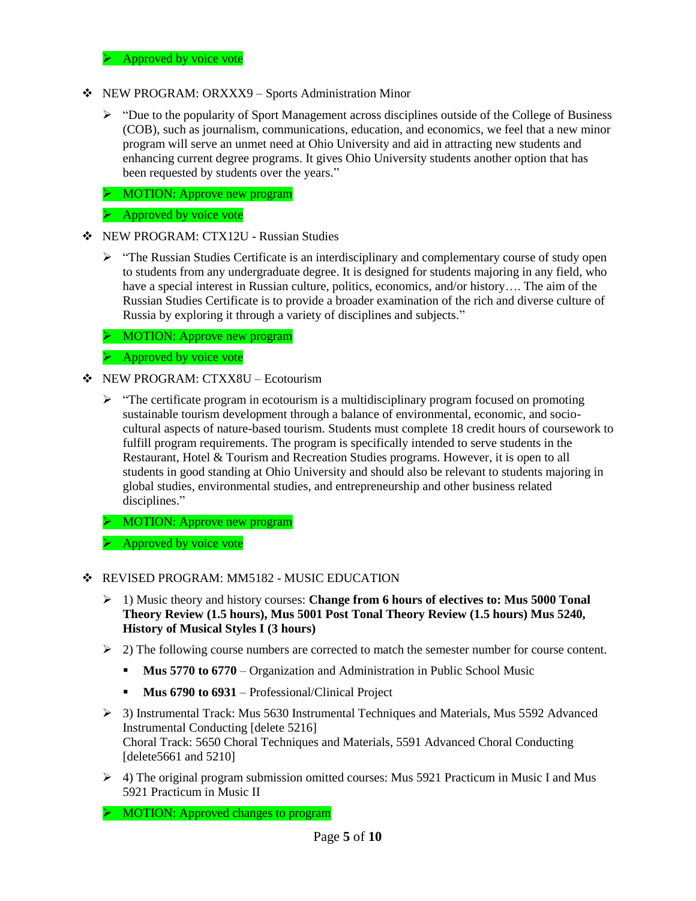$\triangleright$  Approved by voice vote

- NEW PROGRAM: ORXXX9 Sports Administration Minor
	- $\triangleright$  "Due to the popularity of Sport Management across disciplines outside of the College of Business (COB), such as journalism, communications, education, and economics, we feel that a new minor program will serve an unmet need at Ohio University and aid in attracting new students and enhancing current degree programs. It gives Ohio University students another option that has been requested by students over the years."
	- > MOTION: Approve new program
	- $\triangleright$  Approved by voice vote
- NEW PROGRAM: CTX12U Russian Studies
	- $\triangleright$  "The Russian Studies Certificate is an interdisciplinary and complementary course of study open to students from any undergraduate degree. It is designed for students majoring in any field, who have a special interest in Russian culture, politics, economics, and/or history…. The aim of the Russian Studies Certificate is to provide a broader examination of the rich and diverse culture of Russia by exploring it through a variety of disciplines and subjects."

**EXECUTE:** Approve new program

 $\triangleright$  Approved by voice vote

- NEW PROGRAM: CTXX8U Ecotourism
	- $\triangleright$  "The certificate program in ecotourism is a multidisciplinary program focused on promoting sustainable tourism development through a balance of environmental, economic, and sociocultural aspects of nature-based tourism. Students must complete 18 credit hours of coursework to fulfill program requirements. The program is specifically intended to serve students in the Restaurant, Hotel & Tourism and Recreation Studies programs. However, it is open to all students in good standing at Ohio University and should also be relevant to students majoring in global studies, environmental studies, and entrepreneurship and other business related disciplines."

> MOTION: Approve new program

 $\triangleright$  Approved by voice vote

- **EXECUTED PROGRAM: MM5182 MUSIC EDUCATION** 
	- 1) Music theory and history courses: **Change from 6 hours of electives to: Mus 5000 Tonal Theory Review (1.5 hours), Mus 5001 Post Tonal Theory Review (1.5 hours) Mus 5240, History of Musical Styles I (3 hours)**
	- $\geq$  2) The following course numbers are corrected to match the semester number for course content.
		- **Mus 5770 to 6770** Organization and Administration in Public School Music
		- **Mus 6790 to 6931** Professional/Clinical Project
	- 3) Instrumental Track: Mus 5630 Instrumental Techniques and Materials, Mus 5592 Advanced Instrumental Conducting [delete 5216] Choral Track: 5650 Choral Techniques and Materials, 5591 Advanced Choral Conducting [delete5661 and 5210]
	- 4) The original program submission omitted courses: Mus 5921 Practicum in Music I and Mus 5921 Practicum in Music II

> MOTION: Approved changes to program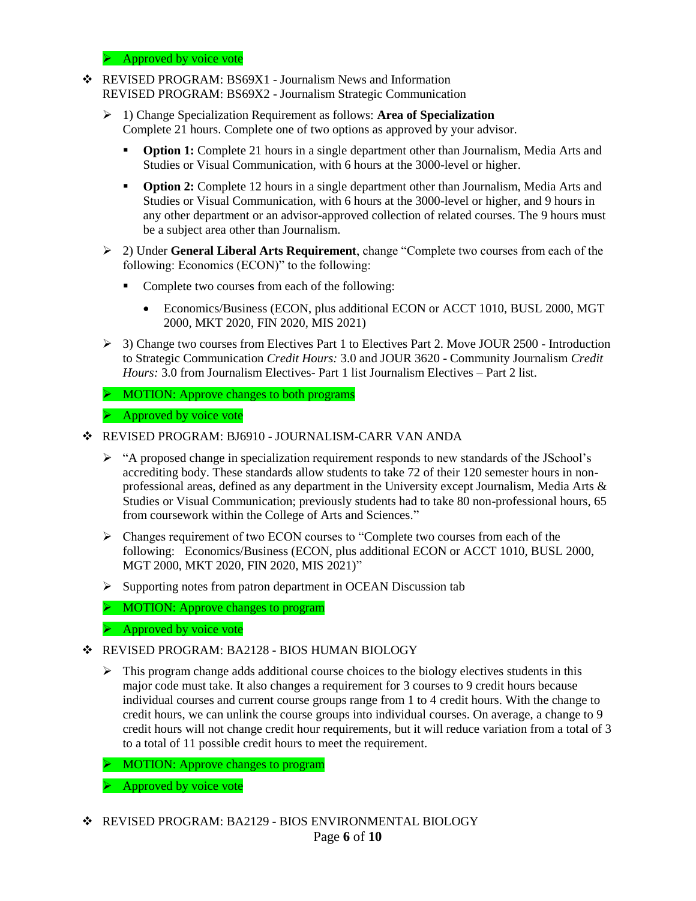$\triangleright$  Approved by voice vote

- REVISED PROGRAM: BS69X1 Journalism News and Information REVISED PROGRAM: BS69X2 - Journalism Strategic Communication
	- 1) Change Specialization Requirement as follows: **Area of Specialization** Complete 21 hours. Complete one of two options as approved by your advisor.
		- **Option 1:** Complete 21 hours in a single department other than Journalism, Media Arts and Studies or Visual Communication, with 6 hours at the 3000-level or higher.
		- **Option 2:** Complete 12 hours in a single department other than Journalism, Media Arts and Studies or Visual Communication, with 6 hours at the 3000-level or higher, and 9 hours in any other department or an advisor-approved collection of related courses. The 9 hours must be a subject area other than Journalism.
	- 2) Under **General Liberal Arts Requirement**, change "Complete two courses from each of the following: Economics (ECON)" to the following:
		- Complete two courses from each of the following:
			- Economics/Business (ECON, plus additional ECON or ACCT 1010, BUSL 2000, MGT 2000, MKT 2020, FIN 2020, MIS 2021)
	- 3) Change two courses from Electives Part 1 to Electives Part 2. Move JOUR 2500 Introduction to Strategic Communication *Credit Hours:* 3.0 and JOUR 3620 - Community Journalism *Credit Hours:* 3.0 from Journalism Electives- Part 1 list Journalism Electives – Part 2 list.
	- > MOTION: Approve changes to both programs
	- $\triangleright$  Approved by voice vote
- REVISED PROGRAM: BJ6910 JOURNALISM-CARR VAN ANDA
	- $\triangleright$  "A proposed change in specialization requirement responds to new standards of the JSchool's accrediting body. These standards allow students to take 72 of their 120 semester hours in nonprofessional areas, defined as any department in the University except Journalism, Media Arts & Studies or Visual Communication; previously students had to take 80 non-professional hours, 65 from coursework within the College of Arts and Sciences."
	- $\triangleright$  Changes requirement of two ECON courses to "Complete two courses from each of the following: Economics/Business (ECON, plus additional ECON or ACCT 1010, BUSL 2000, MGT 2000, MKT 2020, FIN 2020, MIS 2021)"
	- $\triangleright$  Supporting notes from patron department in OCEAN Discussion tab
	- $\triangleright$  MOTION: Approve changes to program
	- $\triangleright$  Approved by voice vote
- REVISED PROGRAM: BA2128 BIOS HUMAN BIOLOGY
	- $\triangleright$  This program change adds additional course choices to the biology electives students in this major code must take. It also changes a requirement for 3 courses to 9 credit hours because individual courses and current course groups range from 1 to 4 credit hours. With the change to credit hours, we can unlink the course groups into individual courses. On average, a change to 9 credit hours will not change credit hour requirements, but it will reduce variation from a total of 3 to a total of 11 possible credit hours to meet the requirement.
	- $\triangleright$  MOTION: Approve changes to program
	- $\triangleright$  Approved by voice vote
- REVISED PROGRAM: BA2129 BIOS ENVIRONMENTAL BIOLOGY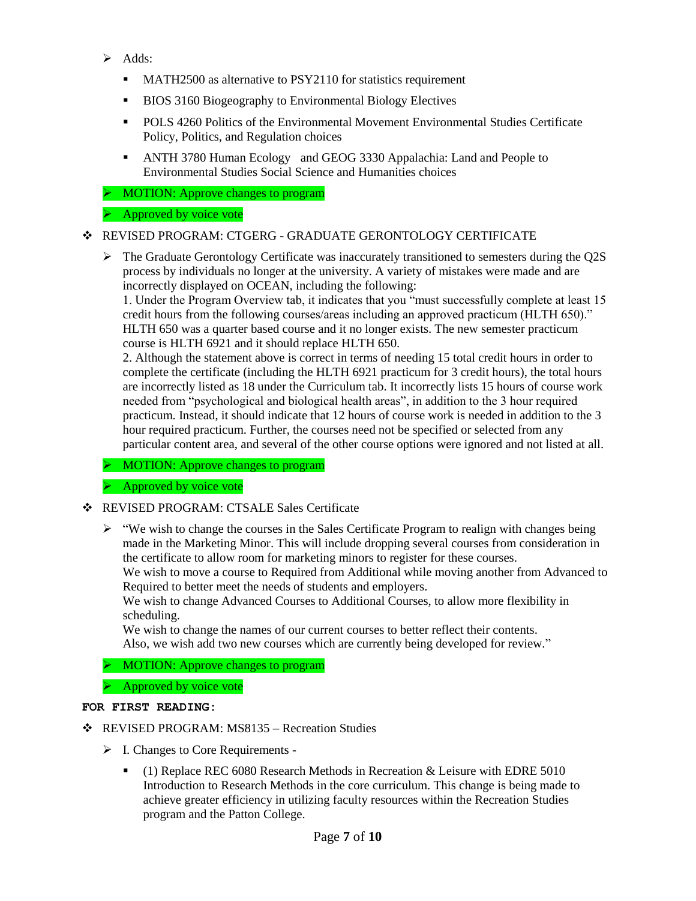- $\triangleright$  Adds:
	- **MATH2500** as alternative to PSY2110 for statistics requirement
	- **BIOS 3160 Biogeography to Environmental Biology Electives**
	- POLS 4260 Politics of the Environmental Movement Environmental Studies Certificate Policy, Politics, and Regulation choices
	- ANTH 3780 Human Ecology and GEOG 3330 Appalachia: Land and People to Environmental Studies Social Science and Humanities choices
- > MOTION: Approve changes to program

### $\triangleright$  Approved by voice vote

## REVISED PROGRAM: CTGERG - GRADUATE GERONTOLOGY CERTIFICATE

 The Graduate Gerontology Certificate was inaccurately transitioned to semesters during the Q2S process by individuals no longer at the university. A variety of mistakes were made and are incorrectly displayed on OCEAN, including the following:

1. Under the Program Overview tab, it indicates that you "must successfully complete at least 15 credit hours from the following courses/areas including an approved practicum (HLTH 650)." HLTH 650 was a quarter based course and it no longer exists. The new semester practicum course is HLTH 6921 and it should replace HLTH 650.

2. Although the statement above is correct in terms of needing 15 total credit hours in order to complete the certificate (including the HLTH 6921 practicum for 3 credit hours), the total hours are incorrectly listed as 18 under the Curriculum tab. It incorrectly lists 15 hours of course work needed from "psychological and biological health areas", in addition to the 3 hour required practicum. Instead, it should indicate that 12 hours of course work is needed in addition to the 3 hour required practicum. Further, the courses need not be specified or selected from any particular content area, and several of the other course options were ignored and not listed at all.

 $\triangleright$  MOTION: Approve changes to program

 $\triangleright$  Approved by voice vote

- REVISED PROGRAM: CTSALE Sales Certificate
	- $\triangleright$  "We wish to change the courses in the Sales Certificate Program to realign with changes being made in the Marketing Minor. This will include dropping several courses from consideration in the certificate to allow room for marketing minors to register for these courses.

We wish to move a course to Required from Additional while moving another from Advanced to Required to better meet the needs of students and employers.

We wish to change Advanced Courses to Additional Courses, to allow more flexibility in scheduling.

We wish to change the names of our current courses to better reflect their contents. Also, we wish add two new courses which are currently being developed for review."

> MOTION: Approve changes to program

 $\triangleright$  Approved by voice vote

#### **FOR FIRST READING:**

- REVISED PROGRAM: MS8135 Recreation Studies
	- $\triangleright$  I. Changes to Core Requirements -
		- (1) Replace REC 6080 Research Methods in Recreation & Leisure with EDRE 5010 Introduction to Research Methods in the core curriculum. This change is being made to achieve greater efficiency in utilizing faculty resources within the Recreation Studies program and the Patton College.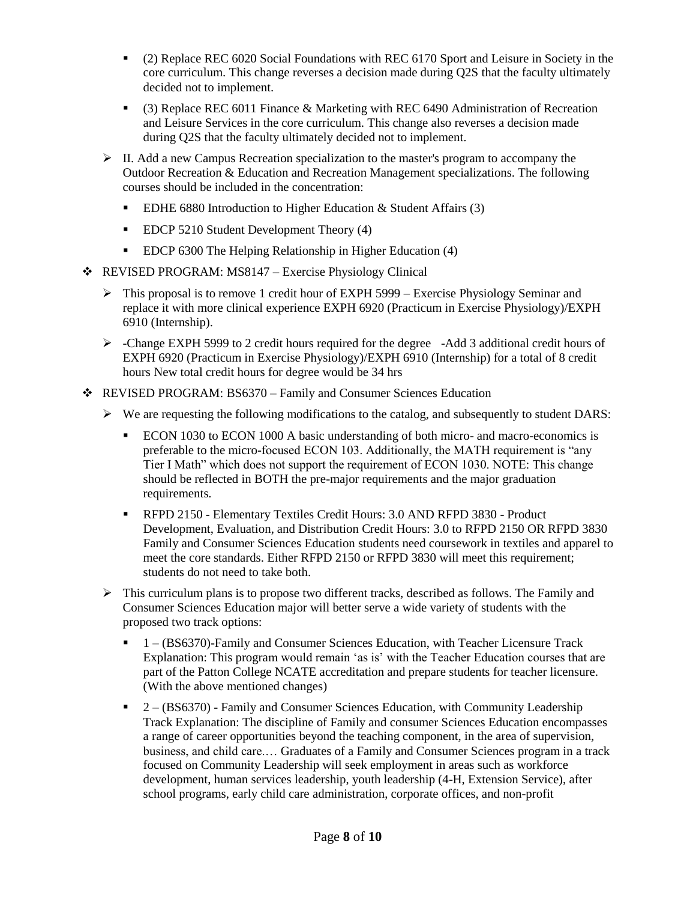- (2) Replace REC 6020 Social Foundations with REC 6170 Sport and Leisure in Society in the core curriculum. This change reverses a decision made during Q2S that the faculty ultimately decided not to implement.
- (3) Replace REC 6011 Finance & Marketing with REC 6490 Administration of Recreation and Leisure Services in the core curriculum. This change also reverses a decision made during Q2S that the faculty ultimately decided not to implement.
- $\triangleright$  II. Add a new Campus Recreation specialization to the master's program to accompany the Outdoor Recreation & Education and Recreation Management specializations. The following courses should be included in the concentration:
	- EDHE 6880 Introduction to Higher Education & Student Affairs (3)
	- **EDCP 5210 Student Development Theory (4)**
	- EDCP 6300 The Helping Relationship in Higher Education (4)
- REVISED PROGRAM: MS8147 Exercise Physiology Clinical
	- $\triangleright$  This proposal is to remove 1 credit hour of EXPH 5999 Exercise Physiology Seminar and replace it with more clinical experience EXPH 6920 (Practicum in Exercise Physiology)/EXPH 6910 (Internship).
	- $\triangleright$  -Change EXPH 5999 to 2 credit hours required for the degree -Add 3 additional credit hours of EXPH 6920 (Practicum in Exercise Physiology)/EXPH 6910 (Internship) for a total of 8 credit hours New total credit hours for degree would be 34 hrs
- REVISED PROGRAM: BS6370 Family and Consumer Sciences Education
	- $\triangleright$  We are requesting the following modifications to the catalog, and subsequently to student DARS:
		- ECON 1030 to ECON 1000 A basic understanding of both micro- and macro-economics is preferable to the micro-focused ECON 103. Additionally, the MATH requirement is "any Tier I Math" which does not support the requirement of ECON 1030. NOTE: This change should be reflected in BOTH the pre-major requirements and the major graduation requirements.
		- RFPD 2150 Elementary Textiles Credit Hours: 3.0 AND RFPD 3830 Product Development, Evaluation, and Distribution Credit Hours: 3.0 to RFPD 2150 OR RFPD 3830 Family and Consumer Sciences Education students need coursework in textiles and apparel to meet the core standards. Either RFPD 2150 or RFPD 3830 will meet this requirement; students do not need to take both.
	- $\triangleright$  This curriculum plans is to propose two different tracks, described as follows. The Family and Consumer Sciences Education major will better serve a wide variety of students with the proposed two track options:
		- 1 (BS6370)-Family and Consumer Sciences Education, with Teacher Licensure Track Explanation: This program would remain 'as is' with the Teacher Education courses that are part of the Patton College NCATE accreditation and prepare students for teacher licensure. (With the above mentioned changes)
		- $\blacksquare$  2 (BS6370) Family and Consumer Sciences Education, with Community Leadership Track Explanation: The discipline of Family and consumer Sciences Education encompasses a range of career opportunities beyond the teaching component, in the area of supervision, business, and child care.… Graduates of a Family and Consumer Sciences program in a track focused on Community Leadership will seek employment in areas such as workforce development, human services leadership, youth leadership (4-H, Extension Service), after school programs, early child care administration, corporate offices, and non-profit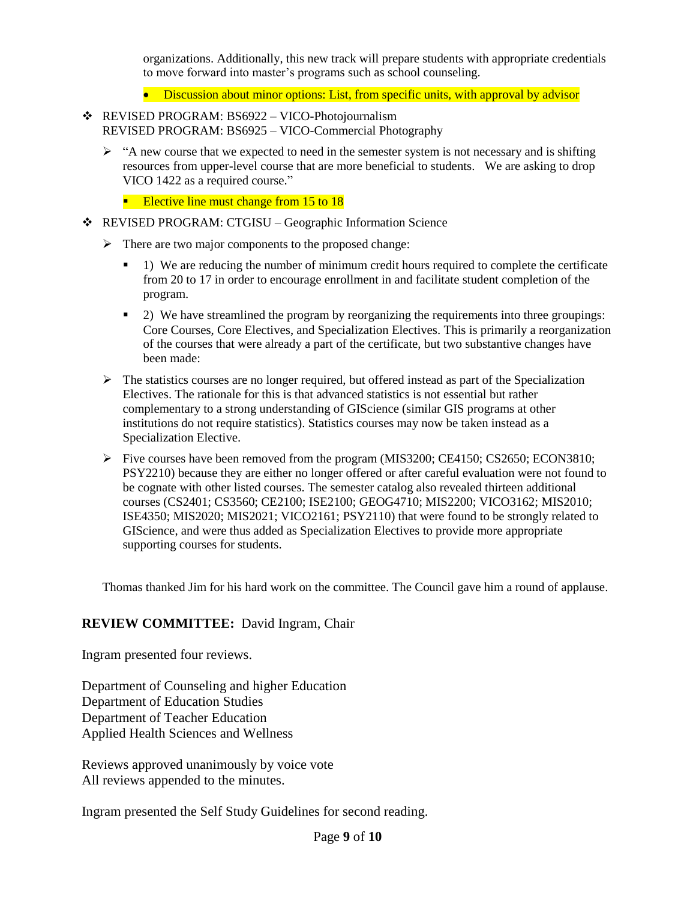organizations. Additionally, this new track will prepare students with appropriate credentials to move forward into master's programs such as school counseling.

- Discussion about minor options: List, from specific units, with approval by advisor
- REVISED PROGRAM: BS6922 VICO-Photojournalism REVISED PROGRAM: BS6925 – VICO-Commercial Photography
	- $\triangleright$  "A new course that we expected to need in the semester system is not necessary and is shifting resources from upper-level course that are more beneficial to students. We are asking to drop VICO 1422 as a required course."
		- Elective line must change from 15 to 18
- REVISED PROGRAM: CTGISU Geographic Information Science
	- $\triangleright$  There are two major components to the proposed change:
		- 1) We are reducing the number of minimum credit hours required to complete the certificate from 20 to 17 in order to encourage enrollment in and facilitate student completion of the program.
		- <sup>2</sup> 2) We have streamlined the program by reorganizing the requirements into three groupings: Core Courses, Core Electives, and Specialization Electives. This is primarily a reorganization of the courses that were already a part of the certificate, but two substantive changes have been made:
	- $\triangleright$  The statistics courses are no longer required, but offered instead as part of the Specialization Electives. The rationale for this is that advanced statistics is not essential but rather complementary to a strong understanding of GIScience (similar GIS programs at other institutions do not require statistics). Statistics courses may now be taken instead as a Specialization Elective.
	- Five courses have been removed from the program (MIS3200; CE4150; CS2650; ECON3810; PSY2210) because they are either no longer offered or after careful evaluation were not found to be cognate with other listed courses. The semester catalog also revealed thirteen additional courses (CS2401; CS3560; CE2100; ISE2100; GEOG4710; MIS2200; VICO3162; MIS2010; ISE4350; MIS2020; MIS2021; VICO2161; PSY2110) that were found to be strongly related to GIScience, and were thus added as Specialization Electives to provide more appropriate supporting courses for students.

Thomas thanked Jim for his hard work on the committee. The Council gave him a round of applause.

### **REVIEW COMMITTEE:** David Ingram, Chair

Ingram presented four reviews.

Department of Counseling and higher Education Department of Education Studies Department of Teacher Education Applied Health Sciences and Wellness

Reviews approved unanimously by voice vote All reviews appended to the minutes.

Ingram presented the Self Study Guidelines for second reading.